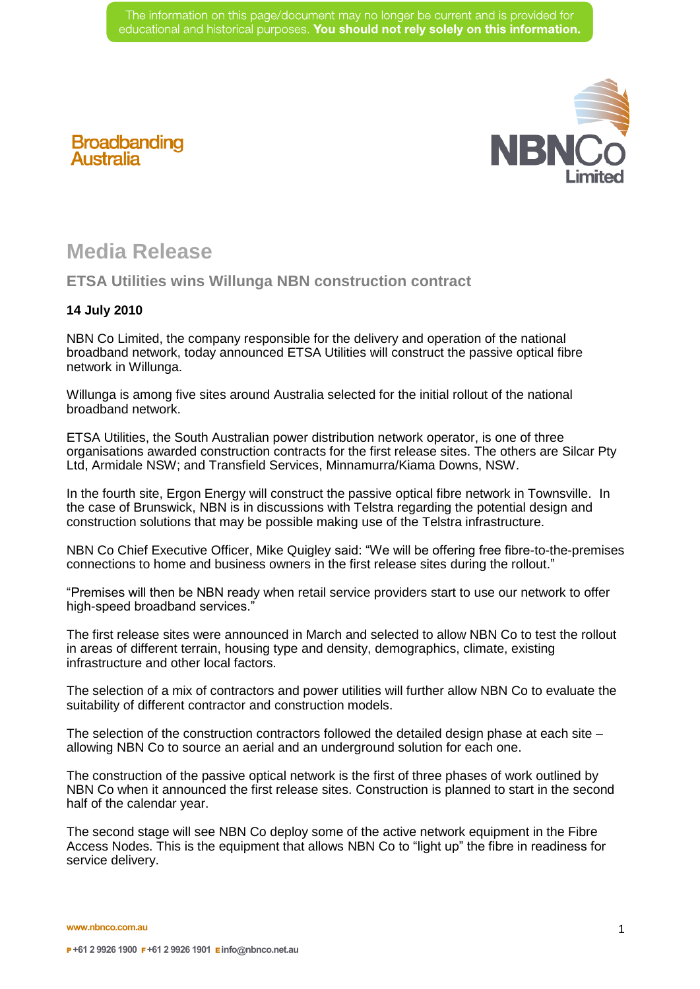

## **Broadbanding Australia**

## **Media Release**

## **ETSA Utilities wins Willunga NBN construction contract**

## **14 July 2010**

NBN Co Limited, the company responsible for the delivery and operation of the national broadband network, today announced ETSA Utilities will construct the passive optical fibre network in Willunga.

Willunga is among five sites around Australia selected for the initial rollout of the national broadband network.

ETSA Utilities, the South Australian power distribution network operator, is one of three organisations awarded construction contracts for the first release sites. The others are Silcar Pty Ltd, Armidale NSW; and Transfield Services, Minnamurra/Kiama Downs, NSW.

In the fourth site, Ergon Energy will construct the passive optical fibre network in Townsville. In the case of Brunswick, NBN is in discussions with Telstra regarding the potential design and construction solutions that may be possible making use of the Telstra infrastructure.

NBN Co Chief Executive Officer, Mike Quigley said: "We will be offering free fibre-to-the-premises connections to home and business owners in the first release sites during the rollout."

"Premises will then be NBN ready when retail service providers start to use our network to offer high-speed broadband services."

The first release sites were announced in March and selected to allow NBN Co to test the rollout in areas of different terrain, housing type and density, demographics, climate, existing infrastructure and other local factors.

The selection of a mix of contractors and power utilities will further allow NBN Co to evaluate the suitability of different contractor and construction models.

The selection of the construction contractors followed the detailed design phase at each site – allowing NBN Co to source an aerial and an underground solution for each one.

The construction of the passive optical network is the first of three phases of work outlined by NBN Co when it announced the first release sites. Construction is planned to start in the second half of the calendar year.

The second stage will see NBN Co deploy some of the active network equipment in the Fibre Access Nodes. This is the equipment that allows NBN Co to "light up" the fibre in readiness for service delivery.

**www.nbnco.com.au**